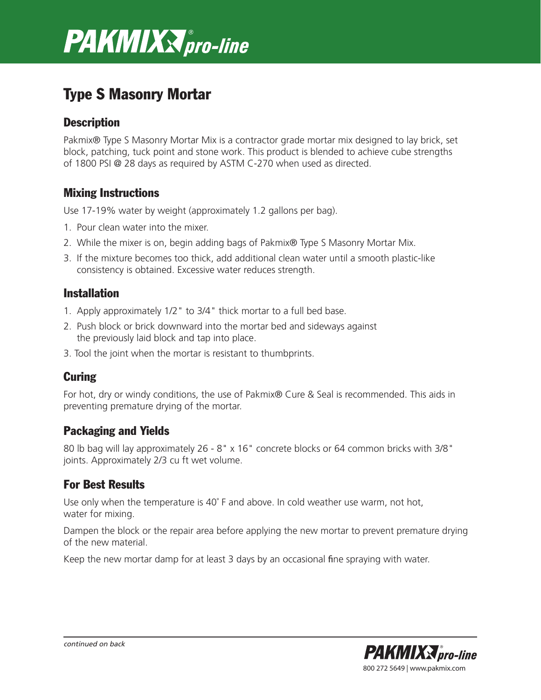

# Type S Masonry Mortar

### **Description**

Pakmix® Type S Masonry Mortar Mix is a contractor grade mortar mix designed to lay brick, set block, patching, tuck point and stone work. This product is blended to achieve cube strengths of 1800 PSI @ 28 days as required by ASTM C-270 when used as directed.

## Mixing Instructions

Use 17-19% water by weight (approximately 1.2 gallons per bag).

- 1. Pour clean water into the mixer.
- 2. While the mixer is on, begin adding bags of Pakmix® Type S Masonry Mortar Mix.
- 3. If the mixture becomes too thick, add additional clean water until a smooth plastic-like consistency is obtained. Excessive water reduces strength.

#### Installation

- 1. Apply approximately 1/2" to 3/4" thick mortar to a full bed base.
- 2. Push block or brick downward into the mortar bed and sideways against the previously laid block and tap into place.
- 3. Tool the joint when the mortar is resistant to thumbprints.

# **Curing**

For hot, dry or windy conditions, the use of Pakmix® Cure & Seal is recommended. This aids in preventing premature drying of the mortar.

#### Packaging and Yields

80 lb bag will lay approximately 26 - 8" x 16" concrete blocks or 64 common bricks with 3/8" joints. Approximately 2/3 cu ft wet volume.

# For Best Results

Use only when the temperature is 40° F and above. In cold weather use warm, not hot, water for mixing.

Dampen the block or the repair area before applying the new mortar to prevent premature drying of the new material.

Keep the new mortar damp for at least 3 days by an occasional fine spraying with water.